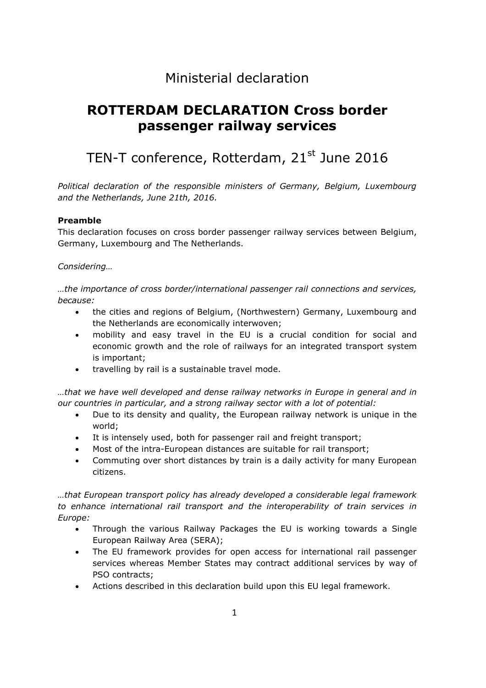## Ministerial declaration

# **ROTTERDAM DECLARATION Cross border passenger railway services**

# TEN-T conference, Rotterdam, 21<sup>st</sup> June 2016

*Political declaration of the responsible ministers of Germany, Belgium, Luxembourg and the Netherlands, June 21th, 2016.* 

### **Preamble**

This declaration focuses on cross border passenger railway services between Belgium, Germany, Luxembourg and The Netherlands.

*Considering…*

*…the importance of cross border/international passenger rail connections and services, because:*

- the cities and regions of Belgium, (Northwestern) Germany, Luxembourg and the Netherlands are economically interwoven;
- mobility and easy travel in the EU is a crucial condition for social and economic growth and the role of railways for an integrated transport system is important;
- travelling by rail is a sustainable travel mode.

*…that we have well developed and dense railway networks in Europe in general and in our countries in particular, and a strong railway sector with a lot of potential:*

- Due to its density and quality, the European railway network is unique in the world;
- It is intensely used, both for passenger rail and freight transport;
- Most of the intra-European distances are suitable for rail transport;
- Commuting over short distances by train is a daily activity for many European citizens.

*…that European transport policy has already developed a considerable legal framework to enhance international rail transport and the interoperability of train services in Europe:*

- Through the various Railway Packages the EU is working towards a Single European Railway Area (SERA);
- The EU framework provides for open access for international rail passenger services whereas Member States may contract additional services by way of PSO contracts;
- Actions described in this declaration build upon this EU legal framework.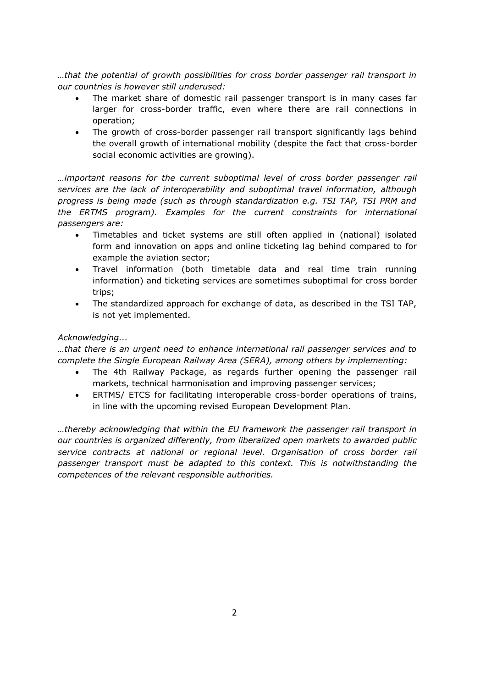*…that the potential of growth possibilities for cross border passenger rail transport in our countries is however still underused:*

- The market share of domestic rail passenger transport is in many cases far larger for cross-border traffic, even where there are rail connections in operation;
- The growth of cross-border passenger rail transport significantly lags behind the overall growth of international mobility (despite the fact that cross-border social economic activities are growing).

*…important reasons for the current suboptimal level of cross border passenger rail services are the lack of interoperability and suboptimal travel information, although progress is being made (such as through standardization e.g. TSI TAP, TSI PRM and the ERTMS program). Examples for the current constraints for international passengers are:*

- Timetables and ticket systems are still often applied in (national) isolated form and innovation on apps and online ticketing lag behind compared to for example the aviation sector;
- Travel information (both timetable data and real time train running information) and ticketing services are sometimes suboptimal for cross border trips;
- The standardized approach for exchange of data, as described in the TSI TAP, is not yet implemented.

### *Acknowledging...*

*…that there is an urgent need to enhance international rail passenger services and to complete the Single European Railway Area (SERA), among others by implementing:*

- The 4th Railway Package, as regards further opening the passenger rail markets, technical harmonisation and improving passenger services;
- ERTMS/ ETCS for facilitating interoperable cross-border operations of trains, in line with the upcoming revised European Development Plan.

*…thereby acknowledging that within the EU framework the passenger rail transport in our countries is organized differently, from liberalized open markets to awarded public service contracts at national or regional level. Organisation of cross border rail passenger transport must be adapted to this context. This is notwithstanding the competences of the relevant responsible authorities.*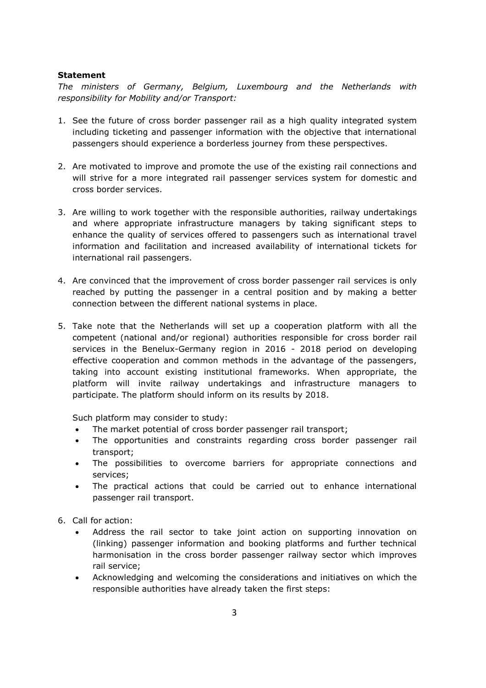#### **Statement**

*The ministers of Germany, Belgium, Luxembourg and the Netherlands with responsibility for Mobility and/or Transport:*

- 1. See the future of cross border passenger rail as a high quality integrated system including ticketing and passenger information with the objective that international passengers should experience a borderless journey from these perspectives.
- 2. Are motivated to improve and promote the use of the existing rail connections and will strive for a more integrated rail passenger services system for domestic and cross border services.
- 3. Are willing to work together with the responsible authorities, railway undertakings and where appropriate infrastructure managers by taking significant steps to enhance the quality of services offered to passengers such as international travel information and facilitation and increased availability of international tickets for international rail passengers.
- 4. Are convinced that the improvement of cross border passenger rail services is only reached by putting the passenger in a central position and by making a better connection between the different national systems in place.
- 5. Take note that the Netherlands will set up a cooperation platform with all the competent (national and/or regional) authorities responsible for cross border rail services in the Benelux-Germany region in 2016 - 2018 period on developing effective cooperation and common methods in the advantage of the passengers, taking into account existing institutional frameworks. When appropriate, the platform will invite railway undertakings and infrastructure managers to participate. The platform should inform on its results by 2018.

Such platform may consider to study:

- The market potential of cross border passenger rail transport;
- The opportunities and constraints regarding cross border passenger rail transport;
- The possibilities to overcome barriers for appropriate connections and services;
- The practical actions that could be carried out to enhance international passenger rail transport.
- 6. Call for action:
	- Address the rail sector to take joint action on supporting innovation on (linking) passenger information and booking platforms and further technical harmonisation in the cross border passenger railway sector which improves rail service;
	- Acknowledging and welcoming the considerations and initiatives on which the responsible authorities have already taken the first steps: